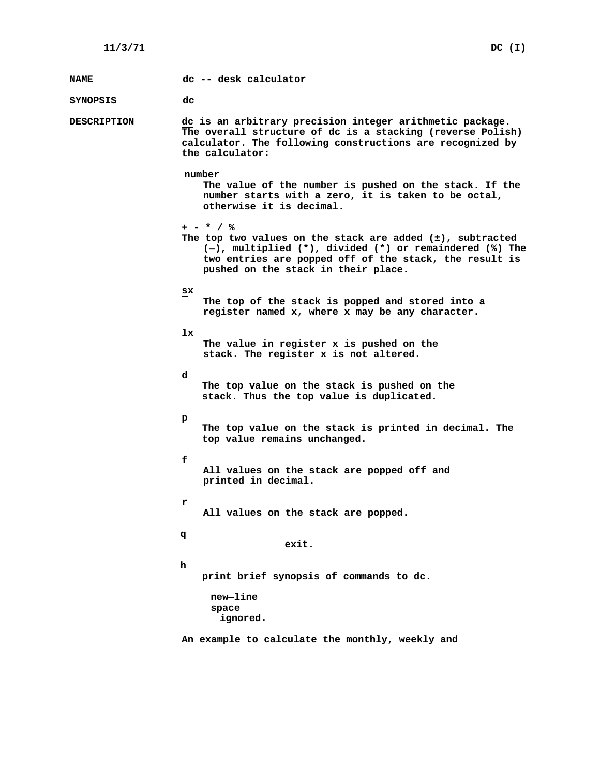| <b>NAME</b>        | dc -- desk calculator                                                                                                                                                                                                                   |
|--------------------|-----------------------------------------------------------------------------------------------------------------------------------------------------------------------------------------------------------------------------------------|
| <b>SYNOPSIS</b>    | dc                                                                                                                                                                                                                                      |
| <b>DESCRIPTION</b> | dc is an arbitrary precision integer arithmetic package.<br>The overall structure of dc is a stacking (reverse Polish)<br>calculator. The following constructions are recognized by<br>the calculator:                                  |
|                    | number<br>The value of the number is pushed on the stack. If the<br>number starts with a zero, it is taken to be octal,<br>otherwise it is decimal.                                                                                     |
|                    | + - * / %<br>The top two values on the stack are added $(\pm)$ , subtracted<br>(-), multiplied (*), divided (*) or remaindered (%) The<br>two entries are popped off of the stack, the result is<br>pushed on the stack in their place. |
|                    | SX<br>The top of the stack is popped and stored into a<br>register named x, where x may be any character.                                                                                                                               |
|                    | 1x.<br>The value in register x is pushed on the<br>stack. The register x is not altered.                                                                                                                                                |
|                    | ₫<br>The top value on the stack is pushed on the<br>stack. Thus the top value is duplicated.                                                                                                                                            |
|                    | р<br>The top value on the stack is printed in decimal. The<br>top value remains unchanged.                                                                                                                                              |
|                    | £<br>All values on the stack are popped off and<br>printed in decimal.                                                                                                                                                                  |
|                    | r<br>All values on the stack are popped.                                                                                                                                                                                                |
|                    | đ<br>exit.                                                                                                                                                                                                                              |
|                    | h<br>print brief synopsis of commands to dc.                                                                                                                                                                                            |
|                    | new-line<br>space<br>ignored.                                                                                                                                                                                                           |
|                    | An example to calculate the monthly, weekly and                                                                                                                                                                                         |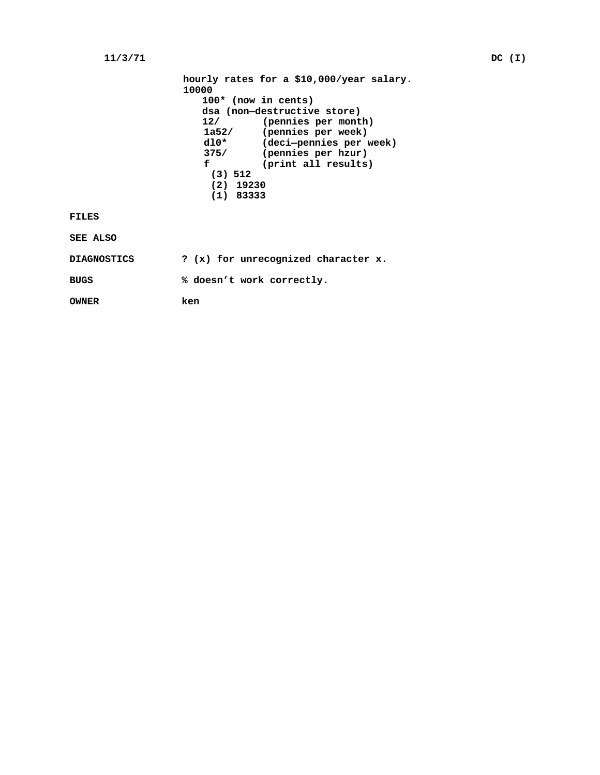## **11/3/71 DC (I)**

| hourly rates for a \$10,000/year salary. |                         |  |
|------------------------------------------|-------------------------|--|
| 10000                                    |                         |  |
| $100*$ (now in cents)                    |                         |  |
| dsa (non-destructive store)              |                         |  |
| 12/                                      | (pennies per month)     |  |
| 1a52/                                    | (pennies per week)      |  |
| $d10*$                                   | (deci-pennies per week) |  |
| 375/                                     | (pennies per hzur)      |  |
| f                                        | (print all results)     |  |
| (3) 512                                  |                         |  |
| $(2)$ 19230                              |                         |  |
| $(1)$ 83333                              |                         |  |
|                                          |                         |  |

## **FILES**

**SEE ALSO**

| <b>DIAGNOSTICS</b> |  | ? (x) for unrecognized character x. |  |
|--------------------|--|-------------------------------------|--|
| <b>BUGS</b>        |  | % doesn't work correctly.           |  |

**OWNER ken**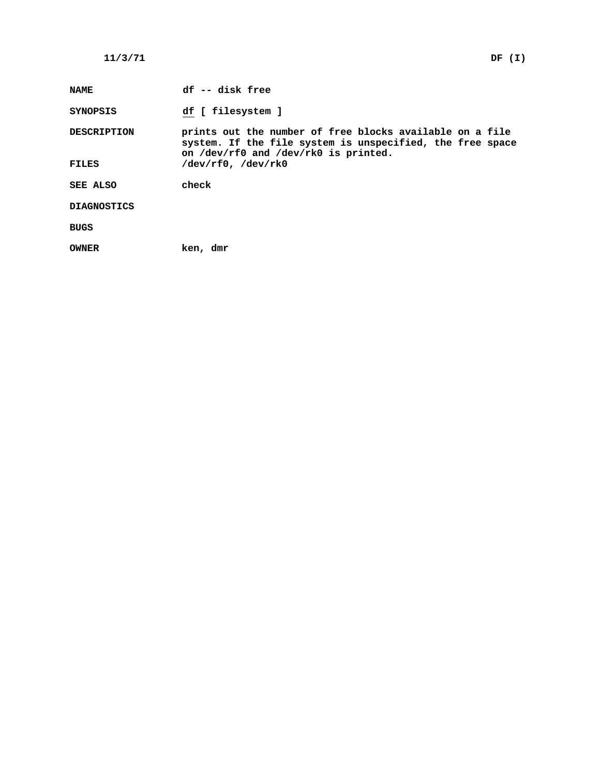# **11/3/71 DF (I)**

| <b>NAME</b>        | df -- disk free                                                                                                                                               |
|--------------------|---------------------------------------------------------------------------------------------------------------------------------------------------------------|
| SYNOPSIS           | df [ filesystem ]                                                                                                                                             |
| <b>DESCRIPTION</b> | prints out the number of free blocks available on a file<br>system. If the file system is unspecified, the free space<br>on /dev/rf0 and /dev/rk0 is printed. |
| FILES              | $/\text{dev}/\text{rf0}$ , $/\text{dev}/\text{rk0}$                                                                                                           |
| SEE ALSO           | check                                                                                                                                                         |
| <b>DIAGNOSTICS</b> |                                                                                                                                                               |
| BUGS               |                                                                                                                                                               |
| OWNER              | ken, dmr                                                                                                                                                      |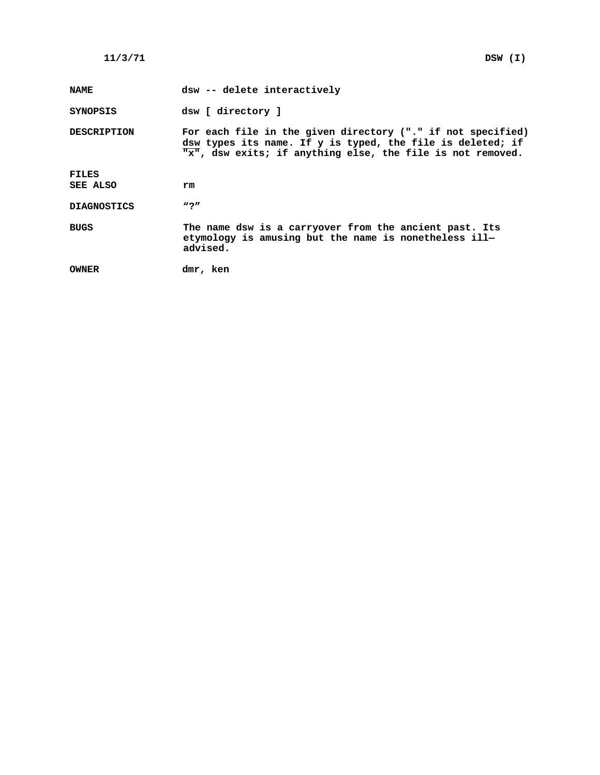| <b>NAME</b>        | dsw -- delete interactively                                                                                                                                                             |
|--------------------|-----------------------------------------------------------------------------------------------------------------------------------------------------------------------------------------|
| SYNOPSIS           | dsw [ directory ]                                                                                                                                                                       |
| <b>DESCRIPTION</b> | For each file in the given directory ("." if not specified)<br>dsw types its name. If y is typed, the file is deleted; if<br>"x", dsw exits; if anything else, the file is not removed. |
| FILES              |                                                                                                                                                                                         |
| SEE ALSO           | rm                                                                                                                                                                                      |
| <b>DIAGNOSTICS</b> | $\bf u \cdot p$                                                                                                                                                                         |
| BUGS               | The name dsw is a carryover from the ancient past. Its<br>etymology is amusing but the name is nonetheless ill-<br>advised.                                                             |
| OWNER              | dmr, ken                                                                                                                                                                                |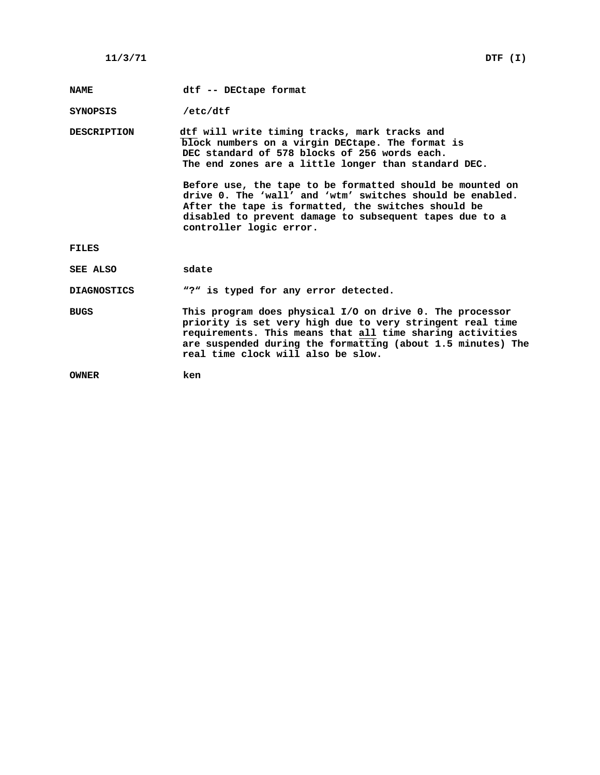**NAME dtf -- DECtape format**

**SYNOPSIS /etc/dtf**

**DESCRIPTION dtf will write timing tracks, mark tracks and block numbers on a virgin DECtape. The format is DEC standard of 578 blocks of 256 words each. The end zones are a little longer than standard DEC.**

> **Before use, the tape to be formatted should be mounted on drive 0. The 'wall' and 'wtm' switches should be enabled. After the tape is formatted, the switches should be disabled to prevent damage to subsequent tapes due to a controller logic error.**

**FILES**

**SEE ALSO sdate**

**DIAGNOSTICS "?" is typed for any error detected.**

**BUGS This program does physical I/O on drive 0. The processor priority is set very high due to very stringent real time requirements. This means that all time sharing activities are suspended during the formatting (about 1.5 minutes) The real time clock will also be slow.**

**OWNER ken**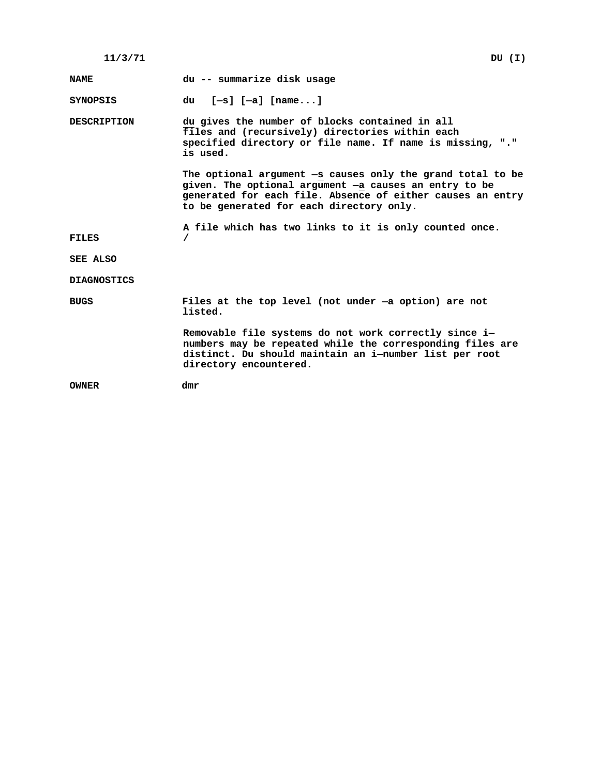| 11/3/71 | DU(T) |  |
|---------|-------|--|
|---------|-------|--|

**NAME du -- summarize disk usage**

**SYNOPSIS du [—s] [—a] [name...]**

**DESCRIPTION du gives the number of blocks contained in all files and (recursively) directories within each specified directory or file name. If name is missing, "." is used.**

> **The optional argument —s causes only the grand total to be given. The optional argument —a causes an entry to be generated for each file. Absence of either causes an entry to be generated for each directory only.**

**A file which has two links to it is only counted once.**

**FILES /**

**SEE ALSO**

**DIAGNOSTICS**

**BUGS Files at the top level (not under —a option) are not listed.**

> **Removable file systems do not work correctly since i numbers may be repeated while the corresponding files are distinct. Du should maintain an i—number list per root directory encountered.**

**OWNER dmr**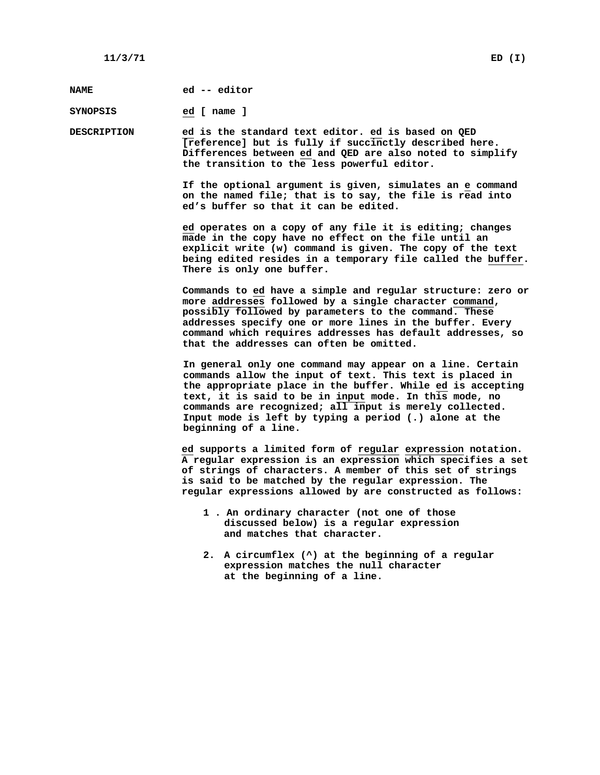**NAME ed -- editor**

**SYNOPSIS ed [ name ]**

**DESCRIPTION ed is the standard text editor. ed is based on QED [reference] but is fully if succinctly described here. Differences between ed and QED are also noted to simplify the transition to the less powerful editor.**

> **If the optional argument is given, simulates an e command on the named file; that is to say, the file is read into ed's buffer so that it can be edited.**

**ed operates on a copy of any file it is editing; changes made in the copy have no effect on the file until an explicit write (w) command is given. The copy of the text being edited resides in a temporary file called the buffer. There is only one buffer.**

**Commands to ed have a simple and regular structure: zero or more addresses followed by a single character command, possibly followed by parameters to the command. These addresses specify one or more lines in the buffer. Every command which requires addresses has default addresses, so that the addresses can often be omitted.**

**In general only one command may appear on a line. Certain commands allow the input of text. This text is placed in the appropriate place in the buffer. While ed is accepting text, it is said to be in input mode. In this mode, no commands are recognized; all input is merely collected. Input mode is left by typing a period (.) alone at the beginning of a line.**

**ed supports a limited form of regular expression notation. A regular expression is an expression which specifies a set of strings of characters. A member of this set of strings is said to be matched by the regular expression. The regular expressions allowed by are constructed as follows:**

- **1 . An ordinary character (not one of those discussed below) is a regular expression and matches that character.**
- **2. A circumflex (^) at the beginning of a regular expression matches the null character at the beginning of a line.**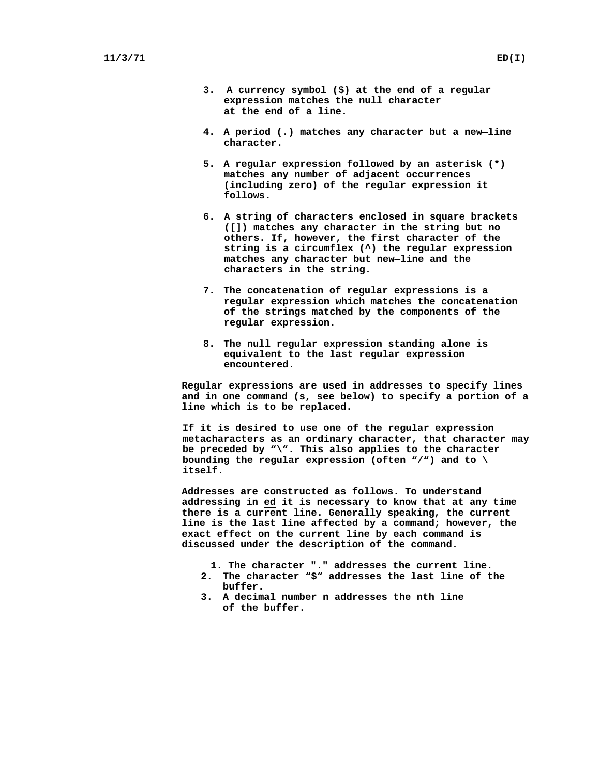- **3. A currency symbol (\$) at the end of a regular expression matches the null character at the end of a line.**
- **4. A period (.) matches any character but a new—line character.**
- **5. A regular expression followed by an asterisk (\*) matches any number of adjacent occurrences (including zero) of the regular expression it follows.**
- **6. A string of characters enclosed in square brackets ([]) matches any character in the string but no others. If, however, the first character of the string is a circumflex (^) the regular expression matches any character but new—line and the characters in the string.**
- **7. The concatenation of regular expressions is a regular expression which matches the concatenation of the strings matched by the components of the regular expression.**
- **8. The null regular expression standing alone is equivalent to the last regular expression encountered.**

**Regular expressions are used in addresses to specify lines and in one command (s, see below) to specify a portion of a line which is to be replaced.**

**If it is desired to use one of the regular expression metacharacters as an ordinary character, that character may be preceded by "\". This also applies to the character bounding the regular expression (often "/") and to \ itself.**

**Addresses are constructed as follows. To understand addressing in ed it is necessary to know that at any time there is a current line. Generally speaking, the current line is the last line affected by a command; however, the exact effect on the current line by each command is discussed under the description of the command.**

- **1. The character "." addresses the current line.**
- **2. The character "\$" addresses the last line of the buffer.**
- **3. A decimal number n addresses the nth line of the buffer.**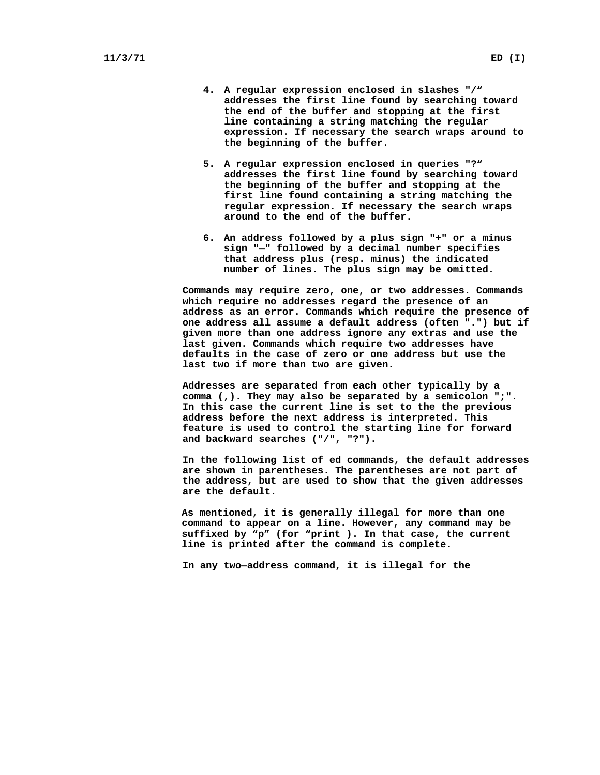- **4. A regular expression enclosed in slashes "/" addresses the first line found by searching toward the end of the buffer and stopping at the first line containing a string matching the regular expression. If necessary the search wraps around to the beginning of the buffer.**
- **5. A regular expression enclosed in queries "?" addresses the first line found by searching toward the beginning of the buffer and stopping at the first line found containing a string matching the regular expression. If necessary the search wraps around to the end of the buffer.**
- **6. An address followed by a plus sign "+" or a minus sign "—" followed by a decimal number specifies that address plus (resp. minus) the indicated number of lines. The plus sign may be omitted.**

**Commands may require zero, one, or two addresses. Commands which require no addresses regard the presence of an address as an error. Commands which require the presence of one address all assume a default address (often ".") but if given more than one address ignore any extras and use the last given. Commands which require two addresses have defaults in the case of zero or one address but use the last two if more than two are given.**

**Addresses are separated from each other typically by a comma (,). They may also be separated by a semicolon ";". In this case the current line is set to the the previous address before the next address is interpreted. This feature is used to control the starting line for forward and backward searches ("/", "?").**

**In the following list of ed commands, the default addresses are shown in parentheses. The parentheses are not part of the address, but are used to show that the given addresses are the default.**

**As mentioned, it is generally illegal for more than one command to appear on a line. However, any command may be suffixed by "p" (for "print ). In that case, the current line is printed after the command is complete.**

**In any two—address command, it is illegal for the**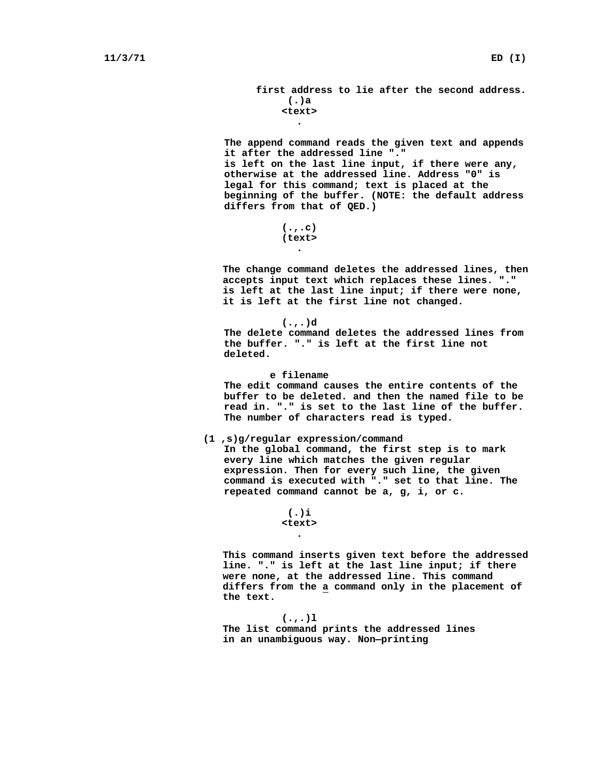**first address to lie after the second address. (.)a <text>**

# **.**

**The append command reads the given text and appends it after the addressed line "." is left on the last line input, if there were any, otherwise at the addressed line. Address "0" is legal for this command; text is placed at the beginning of the buffer. (NOTE: the default address differs from that of QED.)**

> **(.,.c) (text> .**

**The change command deletes the addressed lines, then accepts input text which replaces these lines. "." is left at the last line input; if there were none, it is left at the first line not changed.**

**(.,.)d The delete command deletes the addressed lines from the buffer. "." is left at the first line not deleted.**

**e filename The edit command causes the entire contents of the buffer to be deleted. and then the named file to be read in. "." is set to the last line of the buffer. The number of characters read is typed.**

#### **(1 ,s)g/regular expression/command**

**In the global command, the first step is to mark every line which matches the given regular expression. Then for every such line, the given command is executed with "." set to that line. The repeated command cannot be a, g, i, or c.**

> **(.)i <text> .**

**This command inserts given text before the addressed line. "." is left at the last line input; if there were none, at the addressed line. This command differs from the a command only in the placement of the text.**

**(.,.)l The list command prints the addressed lines in an unambiguous way. Non—printing**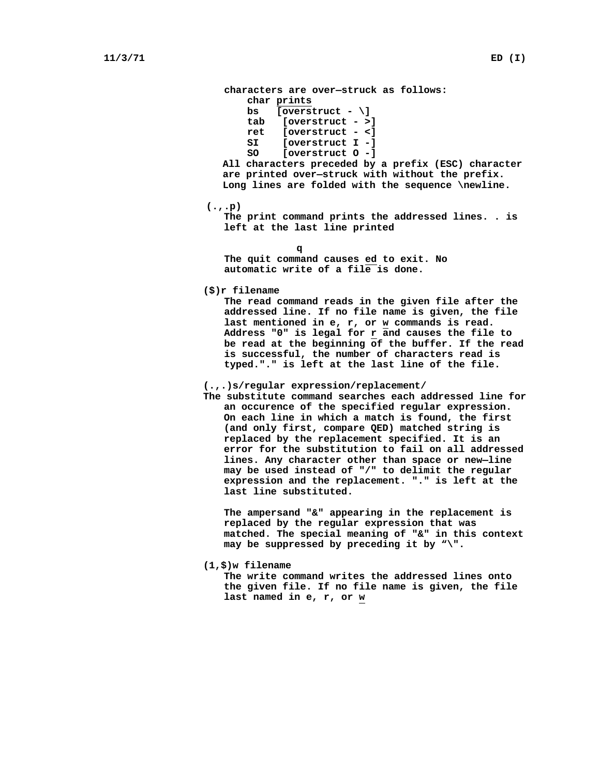**characters are over—struck as follows: char prints bs [overstruct - \] tab [overstruct - >] ret [overstruct - <] SI [overstruct I -] SO [overstruct O -] All characters preceded by a prefix (ESC) character are printed over—struck with without the prefix. Long lines are folded with the sequence \newline. (.,.p) The print command prints the addressed lines. . is left at the last line printed q The quit command causes ed to exit. No automatic write of a file is done. (\$)r filename**

**The read command reads in the given file after the addressed line. If no file name is given, the file last mentioned in e, r, or w commands is read. Address "0" is legal for r and causes the file to be read at the beginning of the buffer. If the read is successful, the number of characters read is typed."." is left at the last line of the file.**

#### **(.,.)s/regular expression/replacement/**

**The substitute command searches each addressed line for an occurence of the specified regular expression. On each line in which a match is found, the first (and only first, compare QED) matched string is replaced by the replacement specified. It is an error for the substitution to fail on all addressed lines. Any character other than space or new—line may be used instead of "/" to delimit the regular expression and the replacement. "." is left at the last line substituted.**

**The ampersand "&" appearing in the replacement is replaced by the regular expression that was matched. The special meaning of "&" in this context may be suppressed by preceding it by "\".**

#### **(1,\$)w filename**

**The write command writes the addressed lines onto the given file. If no file name is given, the file last named in e, r, or w**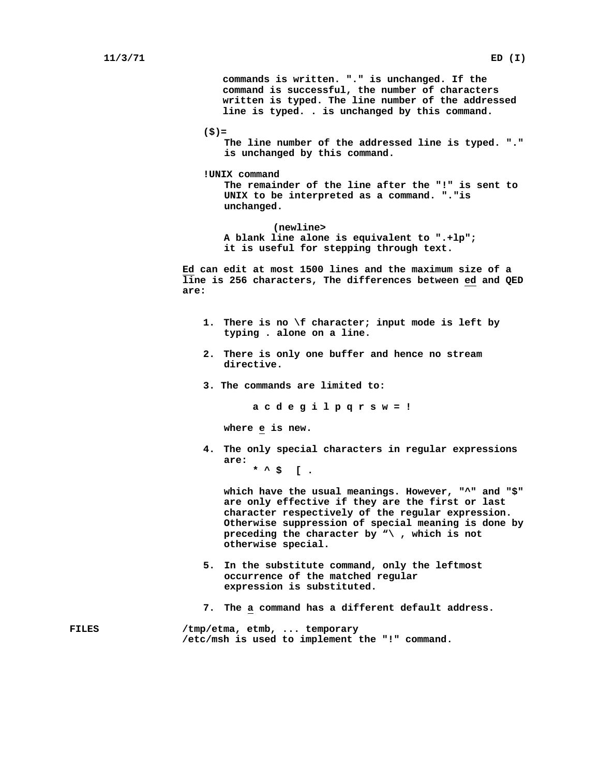**commands is written. "." is unchanged. If the command is successful, the number of characters written is typed. The line number of the addressed line is typed. . is unchanged by this command.**

```
($)=
```
**The line number of the addressed line is typed. "." is unchanged by this command.**

**!UNIX command**

**The remainder of the line after the "!" is sent to UNIX to be interpreted as a command. "."is unchanged.**

**(newline> A blank line alone is equivalent to ".+lp"; it is useful for stepping through text.**

**Ed can edit at most 1500 lines and the maximum size of a line is 256 characters, The differences between ed and QED are:**

- **1. There is no \f character; input mode is left by typing . alone on a line.**
- **2. There is only one buffer and hence no stream directive.**
- **3. The commands are limited to:**

**a c d e g i l p q r s w = !**

**where e is new.**

**4. The only special characters in regular expressions are: \* ^ \$ [ .**

**which have the usual meanings. However, "^" and "\$" are only effective if they are the first or last character respectively of the regular expression. Otherwise suppression of special meaning is done by preceding the character by "\ , which is not otherwise special.**

- **5. In the substitute command, only the leftmost occurrence of the matched regular expression is substituted.**
- **7. The a command has a different default address.**
- **FILES /tmp/etma, etmb, ... temporary /etc/msh is used to implement the "!" command.**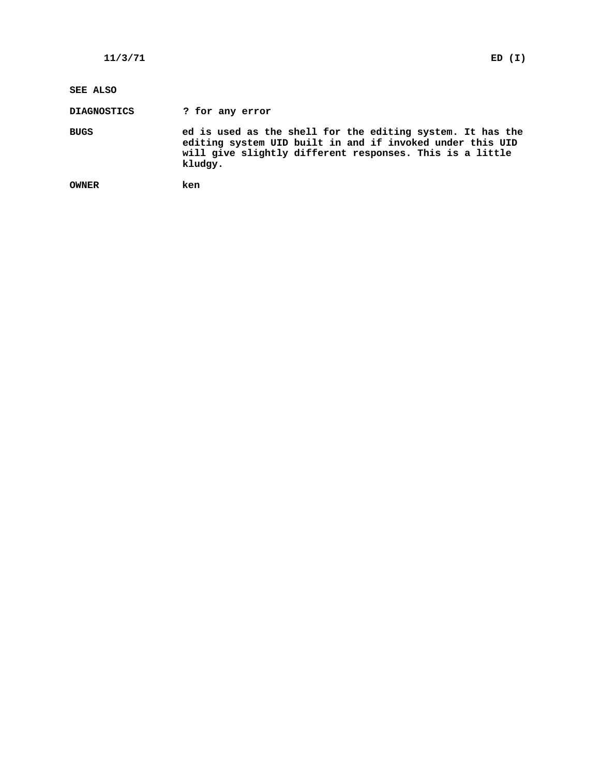### **SEE ALSO**

**DIAGNOSTICS ? for any error**

**BUGS ed is used as the shell for the editing system. It has the editing system UID built in and if invoked under this UID will give slightly different responses. This is a little kludgy.**

```
OWNER ken
```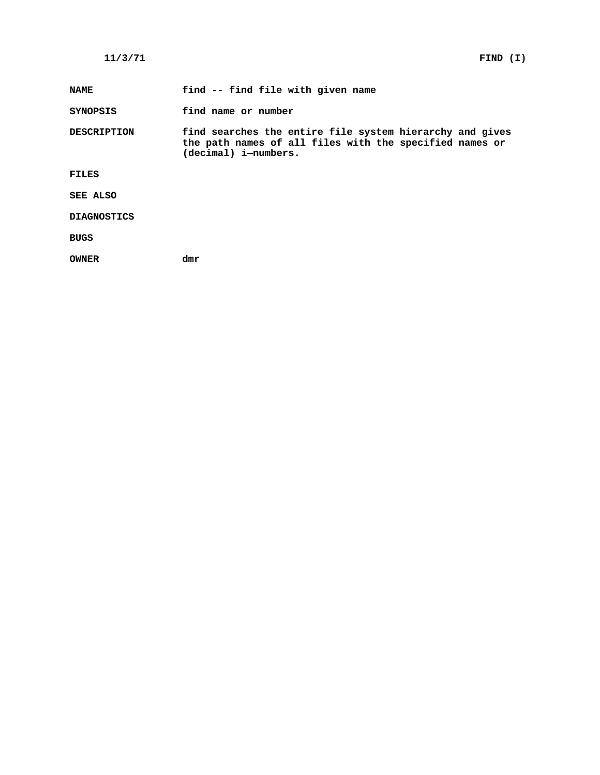**NAME find -- find file with given name**

**SYNOPSIS find name or number**

**DESCRIPTION find searches the entire file system hierarchy and gives the path names of all files with the specified names or (decimal) i—numbers.**

**FILES**

**SEE ALSO**

**DIAGNOSTICS**

**BUGS**

**OWNER dmr**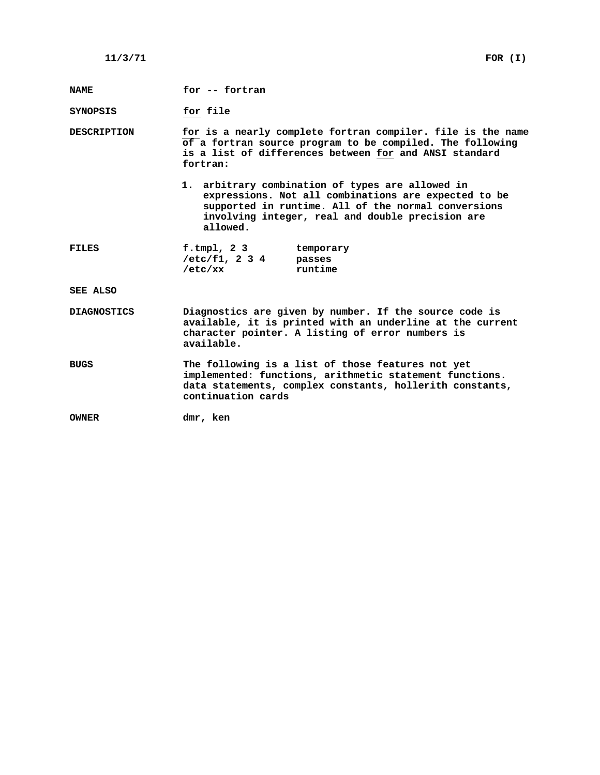| <b>NAME</b>        | for -- fortran                                     |                                                                                                                                                                                                                     |  |
|--------------------|----------------------------------------------------|---------------------------------------------------------------------------------------------------------------------------------------------------------------------------------------------------------------------|--|
| SYNOPSIS           | for file                                           |                                                                                                                                                                                                                     |  |
| <b>DESCRIPTION</b> | fortran:                                           | for is a nearly complete fortran compiler. file is the name<br>of a fortran source program to be compiled. The following<br>is a list of differences between for and ANSI standard                                  |  |
|                    | allowed.                                           | 1. arbitrary combination of types are allowed in<br>expressions. Not all combinations are expected to be<br>supported in runtime. All of the normal conversions<br>involving integer, real and double precision are |  |
| <b>FILES</b>       | f.tmpl, $23$<br>$/etc/f1, 2 3 4$ passes<br>/etc/xx | temporary<br>runtime                                                                                                                                                                                                |  |
| SEE ALSO           |                                                    |                                                                                                                                                                                                                     |  |
| <b>DIAGNOSTICS</b> | available.                                         | Diagnostics are given by number. If the source code is<br>available, it is printed with an underline at the current<br>character pointer. A listing of error numbers is                                             |  |
| <b>BUGS</b>        | continuation cards                                 | The following is a list of those features not yet<br>implemented: functions, arithmetic statement functions.<br>data statements, complex constants, hollerith constants,                                            |  |
| <b>OWNER</b>       | dmr, ken                                           |                                                                                                                                                                                                                     |  |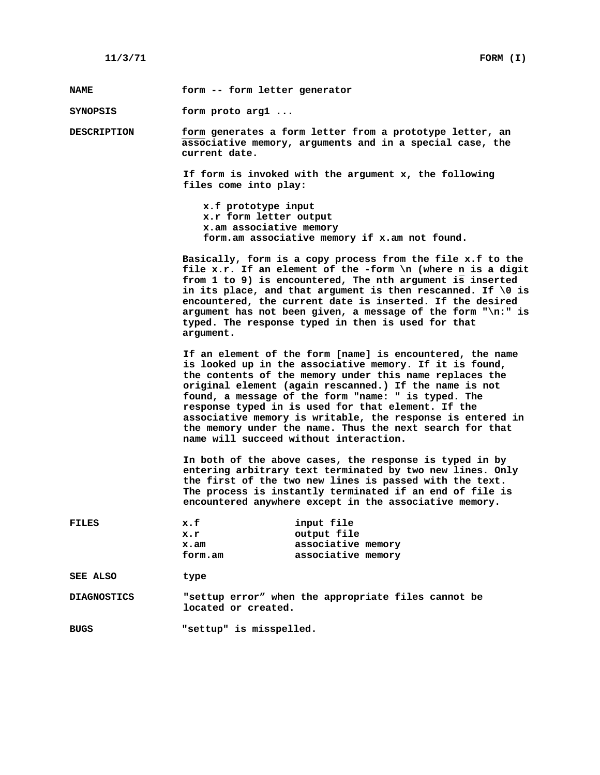**NAME form -- form letter generator**

**SYNOPSIS form proto arg1 ...**

**DESCRIPTION form generates a form letter from a prototype letter, an associative memory, arguments and in a special case, the current date.**

> **If form is invoked with the argument x, the following files come into play:**

**x.f prototype input x.r form letter output x.am associative memory form.am associative memory if x.am not found.**

**Basically, form is a copy process from the file x.f to the file x.r. If an element of the -form \n (where n is a digit from 1 to 9) is encountered, The nth argument is inserted in its place, and that argument is then rescanned. If \0 is encountered, the current date is inserted. If the desired argument has not been given, a message of the form "\n:" is typed. The response typed in then is used for that argument.**

**If an element of the form [name] is encountered, the name is looked up in the associative memory. If it is found, the contents of the memory under this name replaces the original element (again rescanned.) If the name is not found, a message of the form "name: " is typed. The response typed in is used for that element. If the associative memory is writable, the response is entered in the memory under the name. Thus the next search for that name will succeed without interaction.**

**In both of the above cases, the response is typed in by entering arbitrary text terminated by two new lines. Only the first of the two new lines is passed with the text. The process is instantly terminated if an end of file is encountered anywhere except in the associative memory.**

| FILES       | x.f<br>x.r<br>x.am<br>form.am | input file<br>output file<br>associative memory<br>associative memory |
|-------------|-------------------------------|-----------------------------------------------------------------------|
| SEE ALSO    | type                          |                                                                       |
| DIAGNOSTICS | located or created.           | "settup error" when the appropriate files cannot be                   |

**BUGS "settup" is misspelled.**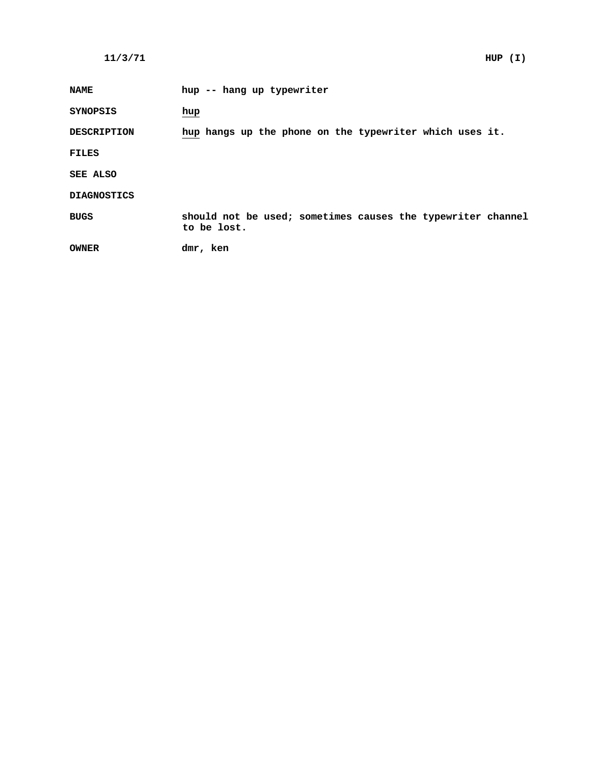| <b>NAME</b>        | hup -- hang up typewriter                                                  |
|--------------------|----------------------------------------------------------------------------|
| <b>SYNOPSIS</b>    | hup                                                                        |
| <b>DESCRIPTION</b> | hup hangs up the phone on the typewriter which uses it.                    |
| <b>FILES</b>       |                                                                            |
| SEE ALSO           |                                                                            |
| <b>DIAGNOSTICS</b> |                                                                            |
| <b>BUGS</b>        | should not be used; sometimes causes the typewriter channel<br>to be lost. |
| <b>OWNER</b>       | dmr, ken                                                                   |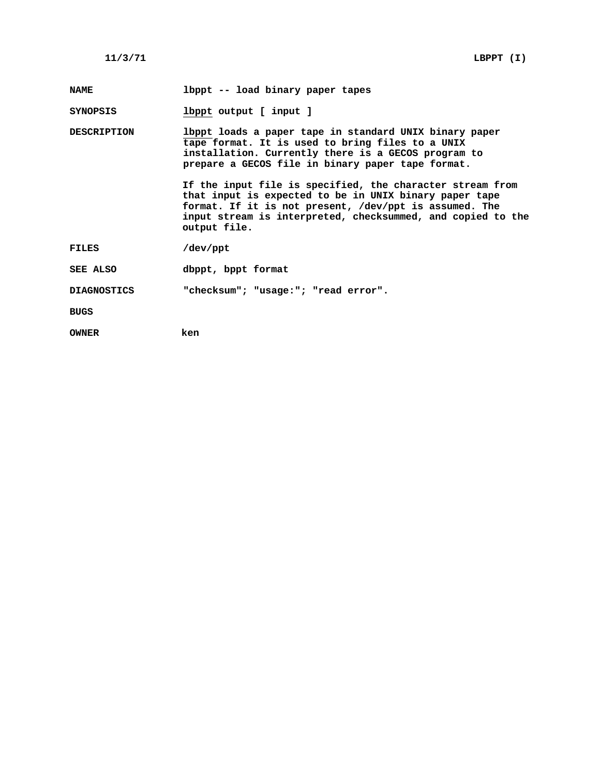| <b>NAME</b>        | lbppt -- load binary paper tapes                                                                                                                                                                                                                             |
|--------------------|--------------------------------------------------------------------------------------------------------------------------------------------------------------------------------------------------------------------------------------------------------------|
| <b>SYNOPSIS</b>    | lbppt output [ input ]                                                                                                                                                                                                                                       |
| <b>DESCRIPTION</b> | lbppt loads a paper tape in standard UNIX binary paper<br>tape format. It is used to bring files to a UNIX<br>installation. Currently there is a GECOS program to<br>prepare a GECOS file in binary paper tape format.                                       |
|                    | If the input file is specified, the character stream from<br>that input is expected to be in UNIX binary paper tape<br>format. If it is not present, /dev/ppt is assumed. The<br>input stream is interpreted, checksummed, and copied to the<br>output file. |
| <b>FILES</b>       | /dev/ppt                                                                                                                                                                                                                                                     |
| SEE ALSO           | dbppt, bppt format                                                                                                                                                                                                                                           |
| <b>DIAGNOSTICS</b> | "checksum"; "usage:"; "read error".                                                                                                                                                                                                                          |
| <b>BUGS</b>        |                                                                                                                                                                                                                                                              |
| <b>OWNER</b>       | ken                                                                                                                                                                                                                                                          |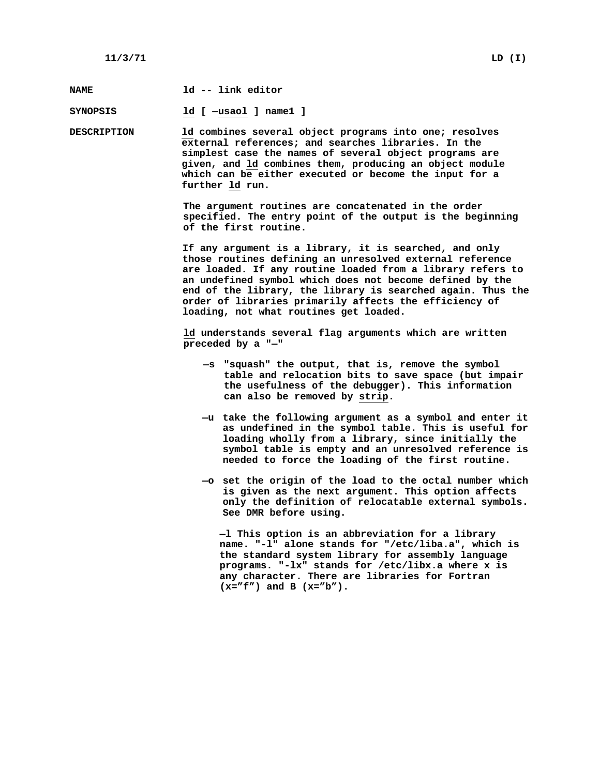| <b>NAME</b>        | 1d -- link editor                                                                                                                                                                                                                                                                                                                                                                                               |  |  |  |  |
|--------------------|-----------------------------------------------------------------------------------------------------------------------------------------------------------------------------------------------------------------------------------------------------------------------------------------------------------------------------------------------------------------------------------------------------------------|--|--|--|--|
| SYNOPSIS           | ld [ -usaol ] name1 ]                                                                                                                                                                                                                                                                                                                                                                                           |  |  |  |  |
| <b>DESCRIPTION</b> | 1d combines several object programs into one; resolves<br>external references; and searches libraries. In the<br>simplest case the names of several object programs are<br>given, and ld combines them, producing an object module<br>which can be either executed or become the input for a<br>further 1d run.                                                                                                 |  |  |  |  |
|                    | The argument routines are concatenated in the order<br>specified. The entry point of the output is the beginning<br>of the first routine.                                                                                                                                                                                                                                                                       |  |  |  |  |
|                    | If any argument is a library, it is searched, and only<br>those routines defining an unresolved external reference<br>are loaded. If any routine loaded from a library refers to<br>an undefined symbol which does not become defined by the<br>end of the library, the library is searched again. Thus the<br>order of libraries primarily affects the efficiency of<br>loading, not what routines get loaded. |  |  |  |  |
|                    | 1d understands several flag arguments which are written<br>preceded by a "-"                                                                                                                                                                                                                                                                                                                                    |  |  |  |  |
|                    | -s "squash" the output, that is, remove the symbol<br>table and relocation bits to save space (but impair<br>the usefulness of the debugger). This information<br>can also be removed by strip.                                                                                                                                                                                                                 |  |  |  |  |
|                    | -u take the following argument as a symbol and enter it<br>as undefined in the symbol table. This is useful for<br>loading wholly from a library, since initially the<br>symbol table is empty and an unresolved reference is<br>needed to force the loading of the first routine.                                                                                                                              |  |  |  |  |
|                    | -o set the origin of the load to the octal number which<br>is given as the next argument. This option affects<br>only the definition of relocatable external symbols.<br>See DMR before using.                                                                                                                                                                                                                  |  |  |  |  |
|                    | -1 This option is an abbreviation for a library<br>name. "-1" alone stands for "/etc/liba.a", which is<br>the standard system library for assembly language<br>programs. "-lx" stands for /etc/libx.a where x is<br>any character. There are libraries for Fortran<br>$(x = "f")$ and B $(x = "b")$ .                                                                                                           |  |  |  |  |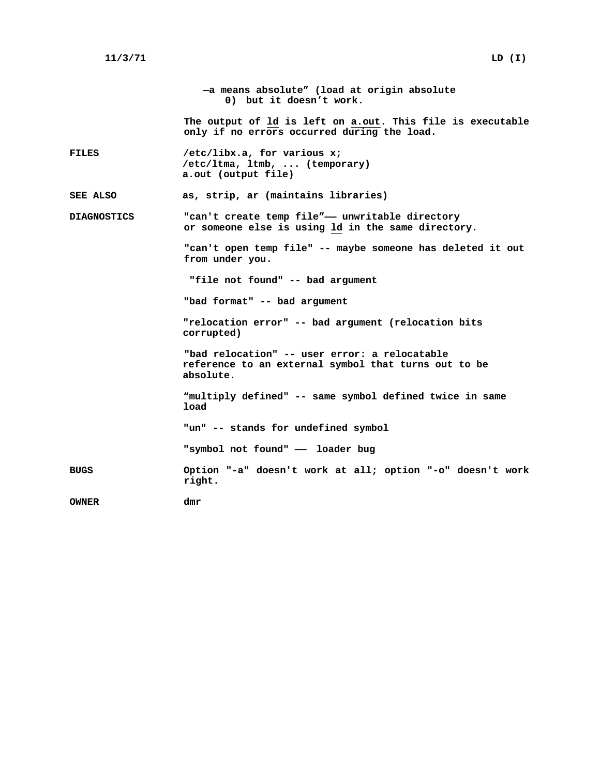**—a means absolute" (load at origin absolute 0) but it doesn't work. The output of ld is left on a.out. This file is executable only if no errors occurred during the load. FILES /etc/libx.a, for various x; /etc/ltma, ltmb, ... (temporary) a.out (output file) SEE ALSO as, strip, ar (maintains libraries) DIAGNOSTICS "can't create temp file"—— unwritable directory or someone else is using ld in the same directory. "can't open temp file" -- maybe someone has deleted it out from under you. "file not found" -- bad argument "bad format" -- bad argument "relocation error" -- bad argument (relocation bits corrupted) "bad relocation" -- user error: a relocatable reference to an external symbol that turns out to be absolute. "multiply defined" -- same symbol defined twice in same load "un" -- stands for undefined symbol "symbol not found" —— loader bug BUGS Option "-a" doesn't work at all; option "-o" doesn't work right. OWNER dmr**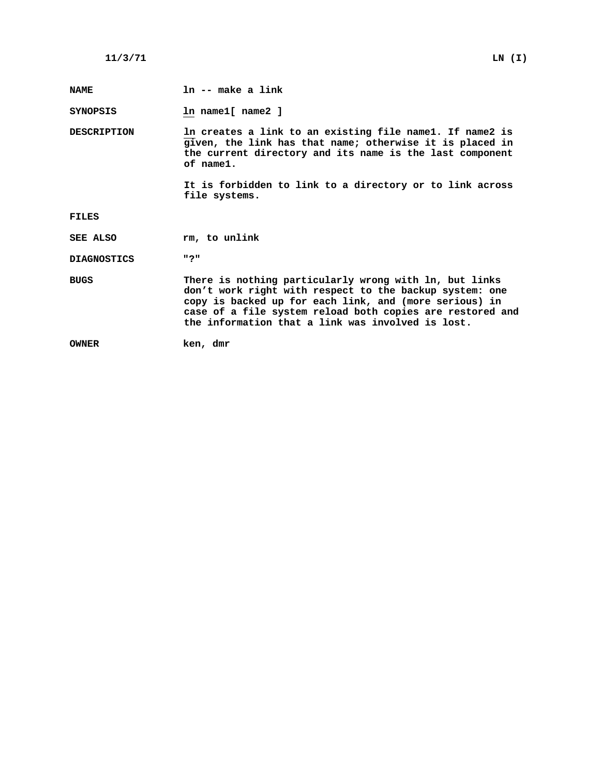| <b>NAME</b>        | ln -- make a link                                                                                                                                                                                                                                                                             |
|--------------------|-----------------------------------------------------------------------------------------------------------------------------------------------------------------------------------------------------------------------------------------------------------------------------------------------|
| <b>SYNOPSIS</b>    | In name1[ name2 ]                                                                                                                                                                                                                                                                             |
| <b>DESCRIPTION</b> | In creates a link to an existing file name1. If name2 is<br>given, the link has that name; otherwise it is placed in<br>the current directory and its name is the last component<br>$of$ $name1.$                                                                                             |
|                    | It is forbidden to link to a directory or to link across<br>file systems.                                                                                                                                                                                                                     |
| FILES              |                                                                                                                                                                                                                                                                                               |
| <b>SEE ALSO</b>    | rm, to unlink                                                                                                                                                                                                                                                                                 |
| <b>DIAGNOSTICS</b> | חפח                                                                                                                                                                                                                                                                                           |
| <b>BUGS</b>        | There is nothing particularly wrong with ln, but links<br>don't work right with respect to the backup system: one<br>copy is backed up for each link, and (more serious) in<br>case of a file system reload both copies are restored and<br>the information that a link was involved is lost. |
| <b>OWNER</b>       | ken, dmr                                                                                                                                                                                                                                                                                      |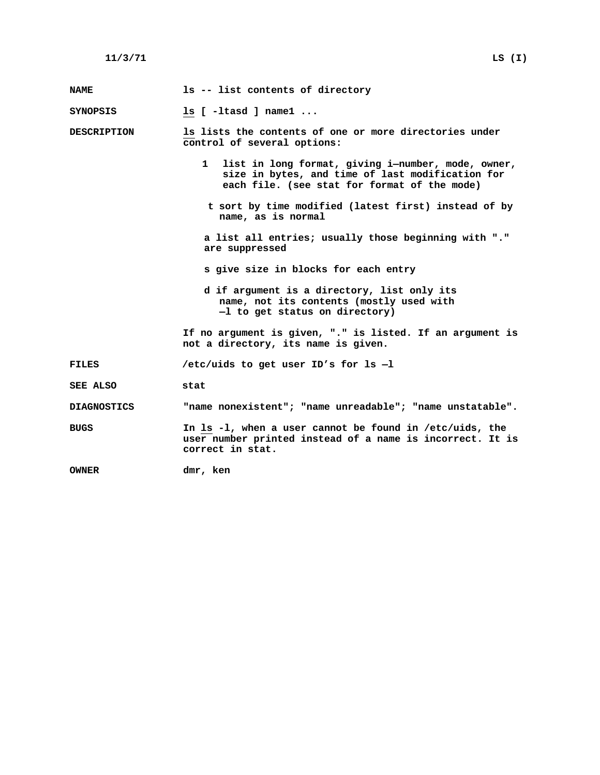| <b>NAME</b>        | 1s -- list contents of directory                                                                                                                         |
|--------------------|----------------------------------------------------------------------------------------------------------------------------------------------------------|
| SYNOPSIS           | $ls$ [ -1tasd ] name1                                                                                                                                    |
| <b>DESCRIPTION</b> | Is lists the contents of one or more directories under<br>control of several options:                                                                    |
|                    | 1 list in long format, giving i-number, mode, owner,<br>size in bytes, and time of last modification for<br>each file. (see stat for format of the mode) |
|                    | t sort by time modified (latest first) instead of by<br>name, as is normal                                                                               |
|                    | a list all entries; usually those beginning with "."<br>are suppressed                                                                                   |
|                    | s give size in blocks for each entry                                                                                                                     |
|                    | d if argument is a directory, list only its<br>name, not its contents (mostly used with<br>-1 to get status on directory)                                |
|                    | If no argument is given, "." is listed. If an argument is<br>not a directory, its name is given.                                                         |
| <b>FILES</b>       | /etc/uids to get user ID's for $ls$ -1                                                                                                                   |
| SEE ALSO           | stat                                                                                                                                                     |
| <b>DIAGNOSTICS</b> | "name nonexistent"; "name unreadable"; "name unstatable".                                                                                                |
| <b>BUGS</b>        | In $ls -l$ , when a user cannot be found in /etc/uids, the<br>user number printed instead of a name is incorrect. It is<br>correct in stat.              |
| <b>OWNER</b>       | dmr, ken                                                                                                                                                 |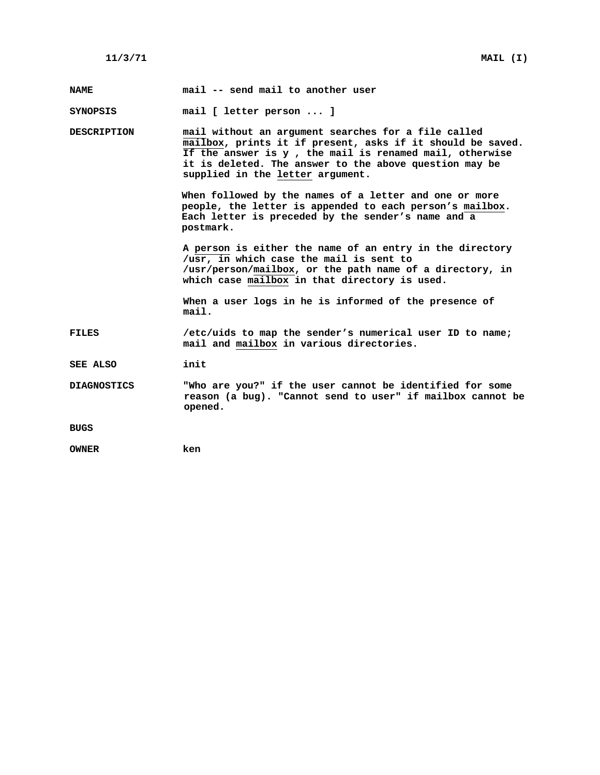| <b>NAME</b>        | mail -- send mail to another user                                                                                                                                                                                                                                          |
|--------------------|----------------------------------------------------------------------------------------------------------------------------------------------------------------------------------------------------------------------------------------------------------------------------|
| SYNOPSIS           | mail [ letter person  ]                                                                                                                                                                                                                                                    |
| <b>DESCRIPTION</b> | mail without an argument searches for a file called<br>mailbox, prints it if present, asks if it should be saved.<br>If the answer is y, the mail is renamed mail, otherwise<br>it is deleted. The answer to the above question may be<br>supplied in the letter argument. |
|                    | When followed by the names of a letter and one or more<br>people, the letter is appended to each person's mailbox.<br>Each letter is preceded by the sender's name and a<br>postmark.                                                                                      |
|                    | A person is either the name of an entry in the directory<br>/usr, in which case the mail is sent to<br>/usr/person/mailbox, or the path name of a directory, in<br>which case mailbox in that directory is used.                                                           |
|                    | When a user logs in he is informed of the presence of<br>mail.                                                                                                                                                                                                             |
| FILES              | /etc/uids to map the sender's numerical user ID to name;<br>mail and mailbox in various directories.                                                                                                                                                                       |
| SEE ALSO           | init                                                                                                                                                                                                                                                                       |
| <b>DIAGNOSTICS</b> | "Who are you?" if the user cannot be identified for some<br>reason (a bug). "Cannot send to user" if mailbox cannot be<br>opened.                                                                                                                                          |
| <b>BUGS</b>        |                                                                                                                                                                                                                                                                            |
| <b>OWNER</b>       | ken                                                                                                                                                                                                                                                                        |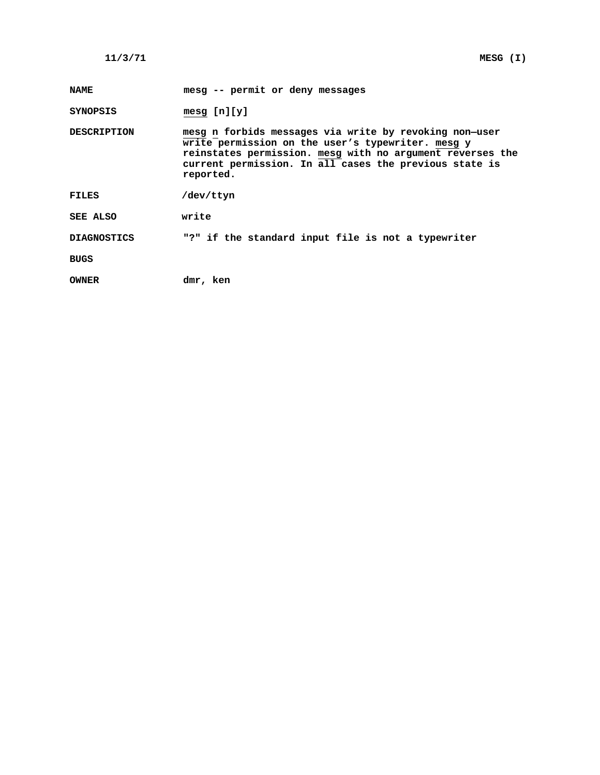| <b>NAME</b>        | mesg -- permit or deny messages                                                                                                                                                                                                                 |
|--------------------|-------------------------------------------------------------------------------------------------------------------------------------------------------------------------------------------------------------------------------------------------|
| SYNOPSIS           | mesg $[n][y]$                                                                                                                                                                                                                                   |
| <b>DESCRIPTION</b> | mesg n forbids messages via write by revoking non-user<br>write permission on the user's typewriter. mesq y<br>reinstates permission. mesg with no argument reverses the<br>current permission. In all cases the previous state is<br>reported. |
| FILES              | /dev/ttyn                                                                                                                                                                                                                                       |
| SEE ALSO           | write                                                                                                                                                                                                                                           |
| <b>DIAGNOSTICS</b> | "?" if the standard input file is not a typewriter                                                                                                                                                                                              |
| BUGS               |                                                                                                                                                                                                                                                 |
| OWNER              | dmr, ken                                                                                                                                                                                                                                        |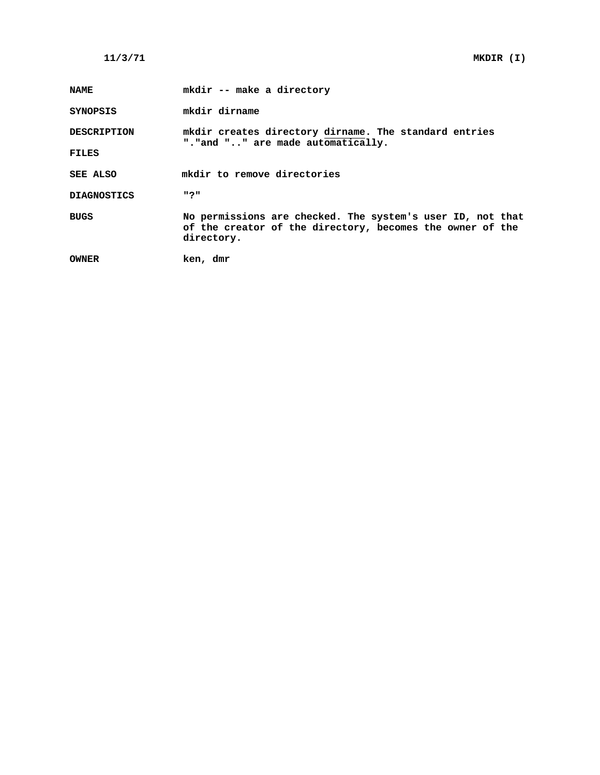| <b>NAME</b>        | mkdir -- make a directory                                                                                                             |
|--------------------|---------------------------------------------------------------------------------------------------------------------------------------|
| <b>SYNOPSIS</b>    | mkdir dirname                                                                                                                         |
| <b>DESCRIPTION</b> | mkdir creates directory dirname. The standard entries<br>". "and "" are made automatically.                                           |
| <b>FILES</b>       |                                                                                                                                       |
| SEE ALSO           | mkdir to remove directories                                                                                                           |
| <b>DIAGNOSTICS</b> | חפח                                                                                                                                   |
| <b>BUGS</b>        | No permissions are checked. The system's user ID, not that<br>of the creator of the directory, becomes the owner of the<br>directory. |
| <b>OWNER</b>       | ken, dmr                                                                                                                              |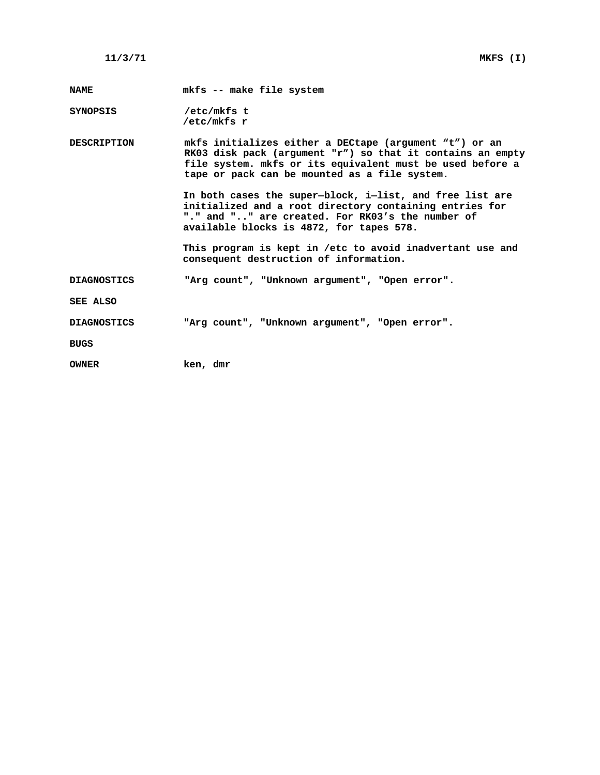**NAME mkfs -- make file system**

**SYNOPSIS /etc/mkfs t /etc/mkfs r**

**DESCRIPTION mkfs initializes either a DECtape (argument "t") or an RK03 disk pack (argument "r") so that it contains an empty file system. mkfs or its equivalent must be used before a tape or pack can be mounted as a file system.**

> **In both cases the super—block, i—list, and free list are initialized and a root directory containing entries for "." and ".." are created. For RK03's the number of available blocks is 4872, for tapes 578.**

**This program is kept in /etc to avoid inadvertant use and consequent destruction of information.**

**DIAGNOSTICS "Arg count", "Unknown argument", "Open error".**

**SEE ALSO**

**DIAGNOSTICS "Arg count", "Unknown argument", "Open error".**

**BUGS**

**OWNER ken, dmr**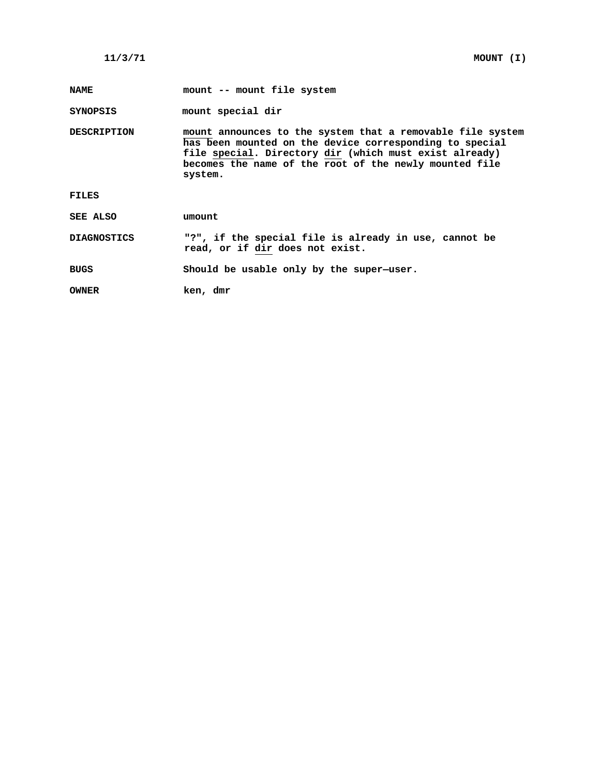**NAME mount -- mount file system**

**SYNOPSIS mount special dir**

**DESCRIPTION mount announces to the system that a removable file system has been mounted on the device corresponding to special file special. Directory dir (which must exist already) becomes the name of the root of the newly mounted file system.**

**FILES**

**SEE ALSO umount**

**DIAGNOSTICS "?", if the special file is already in use, cannot be read, or if dir does not exist.**

**BUGS Should be usable only by the super—user.**

**OWNER ken, dmr**